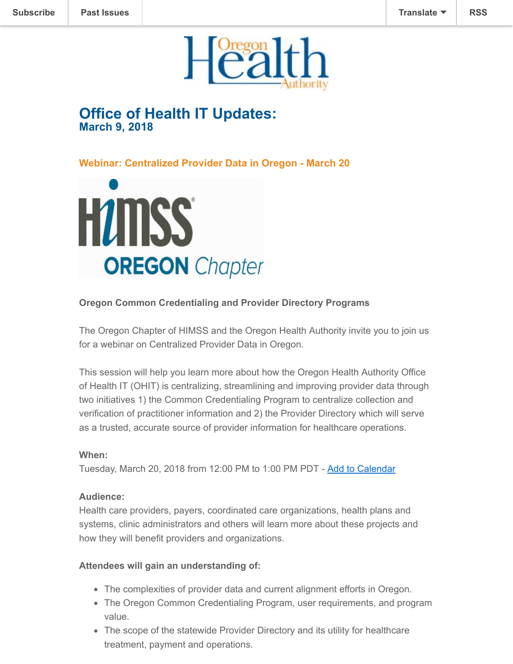

# **Office of Health IT Updates: March 9, 2018**

**Webinar: Centralized Provider Data in Oregon - March 20**



## **Oregon Common Credentialing and Provider Directory Programs**

The Oregon Chapter of HIMSS and the Oregon Health Authority invite you to join us for a webinar on Centralized Provider Data in Oregon.

This session will help you learn more about how the Oregon Health Authority Office of Health IT (OHIT) is centralizing, streamlining and improving provider data through two initiatives 1) the Common Credentialing Program to centralize collection and verification of practitioner information and 2) the Provider Directory which will serve as a trusted, accurate source of provider information for healthcare operations.

#### **When:**

Tuesday, March 20, 2018 from 12:00 PM to 1:00 PM PDT - [Add to Calendar](https://urldefense.proofpoint.com/v2/url?u=http-3A__r20.rs6.net_tn.jsp-3Ff-3D001qbU7SqfzuajAHgXQhs6nqG8GngP3kd-5Fa2NIgOv9-5F0WDmSnIz4CRd3bDtOKK5NkXXr75b7BlRGdbQ7myNEokOFvC3zwx5vdSH0WRPyR5saXsvlDRQaM0WEg5ta8YOv0ZXfa3q8ABNolM7lK18Rt7W-2DAvEQSrVmtoidWGMJjXqBHSC2-2DmdxdUUopRtiYsjGreIeIqVH5Eo7XgMZESJ72lLXMQC-5FOmQagiy-5FRsIpaf2rozSz7CO0vjIw5AlCRQ3OQ5X1VxLm0JybJ0-3D-26c-3DTKO0jKwljlNqCRcXN9uMjvaQ-5FPZKJglnC9RQBg-2DIHBNmwjE-5FjJlZIg-3D-3D-26ch-3DG75dwEX3f-5FVi-5Fp5ffSHLdKZsVhyIBKG4xq2DBIoGx2OoXQDTi5aSeA-3D-3D&d=DwMFaQ&c=7gilq_oJKU2hnacFUWFTuYqjMQ111TRstgx6WoATdXo&r=Xp65ZRfKK_5Dq1vMd_hJwd2Ymc-v3wVfGzZpq2LzwQUuW31gufcZyi6Y7UwGvoQh&m=YAMSSvqjAzl0TfO8FJEvElJbCooIbe59kbk02a3I69M&s=W50lI-JzfaqaBhj5uxfK1lOUf1KKsCue8M7lzFFDS7w&e=)

#### **Audience:**

Health care providers, payers, coordinated care organizations, health plans and systems, clinic administrators and others will learn more about these projects and how they will benefit providers and organizations.

#### **Attendees will gain an understanding of:**

- The complexities of provider data and current alignment efforts in Oregon.
- The Oregon Common Credentialing Program, user requirements, and program value.
- The scope of the statewide Provider Directory and its utility for healthcare treatment, payment and operations.